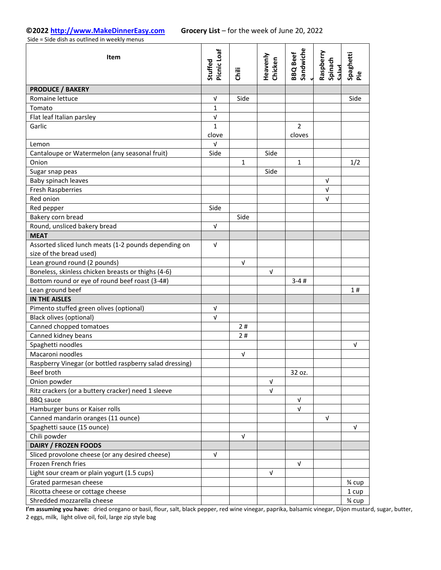Side = Side dish as outlined in weekly menus

| Item                                                    | Picnic Loaf<br>Stuffed    | Ξ           | Heavenly<br>Chicken | Sandwiche<br><b>BBQ</b> Beef | Raspberry<br>Spinach<br>hele2 | Spaghetti<br>Pie |
|---------------------------------------------------------|---------------------------|-------------|---------------------|------------------------------|-------------------------------|------------------|
| <b>PRODUCE / BAKERY</b>                                 |                           |             |                     |                              |                               |                  |
| Romaine lettuce                                         | $\ensuremath{\mathsf{V}}$ | Side        |                     |                              |                               | Side             |
| Tomato                                                  | $\mathbf{1}$              |             |                     |                              |                               |                  |
| Flat leaf Italian parsley                               | $\sqrt{ }$                |             |                     |                              |                               |                  |
| Garlic                                                  | $\mathbf{1}$<br>clove     |             |                     | $\overline{2}$<br>cloves     |                               |                  |
| Lemon                                                   | V                         |             |                     |                              |                               |                  |
| Cantaloupe or Watermelon (any seasonal fruit)           | Side                      |             | Side                |                              |                               |                  |
| Onion                                                   |                           | $\mathbf 1$ |                     | $\mathbf 1$                  |                               | 1/2              |
| Sugar snap peas                                         |                           |             | Side                |                              |                               |                  |
| Baby spinach leaves                                     |                           |             |                     |                              | $\sqrt{ }$                    |                  |
| <b>Fresh Raspberries</b>                                |                           |             |                     |                              | $\sqrt{ }$                    |                  |
| Red onion                                               |                           |             |                     |                              | $\sqrt{ }$                    |                  |
| Red pepper                                              | Side                      |             |                     |                              |                               |                  |
| Bakery corn bread                                       |                           | Side        |                     |                              |                               |                  |
| Round, unsliced bakery bread                            | V                         |             |                     |                              |                               |                  |
| <b>MEAT</b>                                             |                           |             |                     |                              |                               |                  |
| Assorted sliced lunch meats (1-2 pounds depending on    | $\sqrt{ }$                |             |                     |                              |                               |                  |
| size of the bread used)                                 |                           |             |                     |                              |                               |                  |
| Lean ground round (2 pounds)                            |                           | $\sqrt{ }$  |                     |                              |                               |                  |
| Boneless, skinless chicken breasts or thighs (4-6)      |                           |             | $\sqrt{ }$          |                              |                               |                  |
| Bottom round or eye of round beef roast (3-4#)          |                           |             |                     | $3 - 4#$                     |                               |                  |
| Lean ground beef                                        |                           |             |                     |                              |                               | 1#               |
| <b>IN THE AISLES</b>                                    |                           |             |                     |                              |                               |                  |
| Pimento stuffed green olives (optional)                 | $\sqrt{ }$                |             |                     |                              |                               |                  |
| <b>Black olives (optional)</b>                          | $\sqrt{ }$                |             |                     |                              |                               |                  |
| Canned chopped tomatoes                                 |                           | 2#          |                     |                              |                               |                  |
| Canned kidney beans                                     |                           | 2#          |                     |                              |                               |                  |
| Spaghetti noodles                                       |                           |             |                     |                              |                               | V                |
| Macaroni noodles                                        |                           | $\sqrt{ }$  |                     |                              |                               |                  |
| Raspberry Vinegar (or bottled raspberry salad dressing) |                           |             |                     |                              |                               |                  |
| Beef broth                                              |                           |             |                     | 32 oz.                       |                               |                  |
| Onion powder                                            |                           |             | $\sqrt{ }$          |                              |                               |                  |
| Ritz crackers (or a buttery cracker) need 1 sleeve      |                           |             | $\sqrt{ }$          |                              |                               |                  |
| <b>BBQ</b> sauce                                        |                           |             |                     | V                            |                               |                  |
| Hamburger buns or Kaiser rolls                          |                           |             |                     | V                            |                               |                  |
| Canned mandarin oranges (11 ounce)                      |                           |             |                     |                              | $\sqrt{ }$                    |                  |
| Spaghetti sauce (15 ounce)                              |                           |             |                     |                              |                               | $\sqrt{ }$       |
| Chili powder                                            |                           | $\sqrt{ }$  |                     |                              |                               |                  |
| <b>DAIRY / FROZEN FOODS</b>                             |                           |             |                     |                              |                               |                  |
| Sliced provolone cheese (or any desired cheese)         | $\sqrt{ }$                |             |                     |                              |                               |                  |
| Frozen French fries                                     |                           |             |                     | V                            |                               |                  |
| Light sour cream or plain yogurt (1.5 cups)             |                           |             | $\sqrt{ }$          |                              |                               |                  |
| Grated parmesan cheese                                  |                           |             |                     |                              |                               | 3⁄4 cup          |
| Ricotta cheese or cottage cheese                        |                           |             |                     |                              |                               | 1 cup            |
| Shredded mozzarella cheese                              |                           |             |                     |                              |                               | 3⁄4 cup          |

**I'm assuming you have:** dried oregano or basil, flour, salt, black pepper, red wine vinegar, paprika, balsamic vinegar, Dijon mustard, sugar, butter, 2 eggs, milk, light olive oil, foil, large zip style bag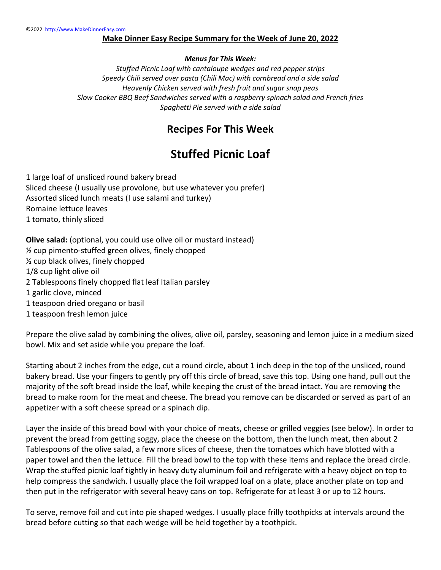### **Make Dinner Easy Recipe Summary for the Week of June 20, 2022**

### *Menus for This Week:*

*Stuffed Picnic Loaf with cantaloupe wedges and red pepper strips Speedy Chili served over pasta (Chili Mac) with cornbread and a side salad Heavenly Chicken served with fresh fruit and sugar snap peas Slow Cooker BBQ Beef Sandwiches served with a raspberry spinach salad and French fries Spaghetti Pie served with a side salad*

### **Recipes For This Week**

# **Stuffed Picnic Loaf**

1 large loaf of unsliced round bakery bread Sliced cheese (I usually use provolone, but use whatever you prefer) Assorted sliced lunch meats (I use salami and turkey) Romaine lettuce leaves 1 tomato, thinly sliced

**Olive salad:** (optional, you could use olive oil or mustard instead) ½ cup pimento-stuffed green olives, finely chopped ½ cup black olives, finely chopped 1/8 cup light olive oil 2 Tablespoons finely chopped flat leaf Italian parsley 1 garlic clove, minced 1 teaspoon dried oregano or basil

1 teaspoon fresh lemon juice

Prepare the olive salad by combining the olives, olive oil, parsley, seasoning and lemon juice in a medium sized bowl. Mix and set aside while you prepare the loaf.

Starting about 2 inches from the edge, cut a round circle, about 1 inch deep in the top of the unsliced, round bakery bread. Use your fingers to gently pry off this circle of bread, save this top. Using one hand, pull out the majority of the soft bread inside the loaf, while keeping the crust of the bread intact. You are removing the bread to make room for the meat and cheese. The bread you remove can be discarded or served as part of an appetizer with a soft cheese spread or a spinach dip.

Layer the inside of this bread bowl with your choice of meats, cheese or grilled veggies (see below). In order to prevent the bread from getting soggy, place the cheese on the bottom, then the lunch meat, then about 2 Tablespoons of the olive salad, a few more slices of cheese, then the tomatoes which have blotted with a paper towel and then the lettuce. Fill the bread bowl to the top with these items and replace the bread circle. Wrap the stuffed picnic loaf tightly in heavy duty aluminum foil and refrigerate with a heavy object on top to help compress the sandwich. I usually place the foil wrapped loaf on a plate, place another plate on top and then put in the refrigerator with several heavy cans on top. Refrigerate for at least 3 or up to 12 hours.

To serve, remove foil and cut into pie shaped wedges. I usually place frilly toothpicks at intervals around the bread before cutting so that each wedge will be held together by a toothpick.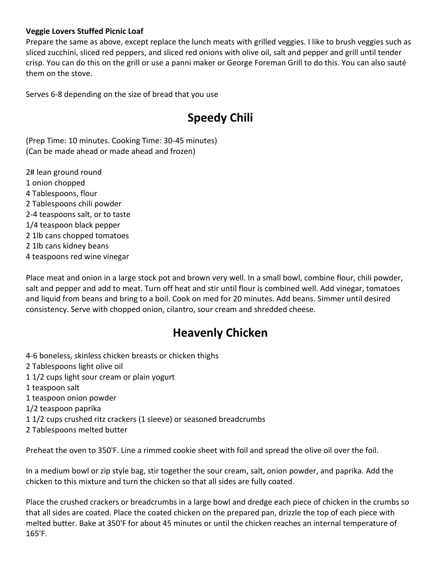### **Veggie Lovers Stuffed Picnic Loaf**

Prepare the same as above, except replace the lunch meats with grilled veggies. I like to brush veggies such as sliced zucchini, sliced red peppers, and sliced red onions with olive oil, salt and pepper and grill until tender crisp. You can do this on the grill or use a panni maker or George Foreman Grill to do this. You can also sauté them on the stove.

Serves 6-8 depending on the size of bread that you use

# **Speedy Chili**

(Prep Time: 10 minutes. Cooking Time: 30-45 minutes) (Can be made ahead or made ahead and frozen)

2# lean ground round 1 onion chopped 4 Tablespoons, flour 2 Tablespoons chili powder 2-4 teaspoons salt, or to taste 1/4 teaspoon black pepper 2 1lb cans chopped tomatoes 2 1lb cans kidney beans 4 teaspoons red wine vinegar

Place meat and onion in a large stock pot and brown very well. In a small bowl, combine flour, chili powder, salt and pepper and add to meat. Turn off heat and stir until flour is combined well. Add vinegar, tomatoes and liquid from beans and bring to a boil. Cook on med for 20 minutes. Add beans. Simmer until desired consistency. Serve with chopped onion, cilantro, sour cream and shredded cheese.

### **Heavenly Chicken**

- 4-6 boneless, skinless chicken breasts or chicken thighs
- 2 Tablespoons light olive oil
- 1 1/2 cups light sour cream or plain yogurt
- 1 teaspoon salt
- 1 teaspoon onion powder
- 1/2 teaspoon paprika
- 1 1/2 cups crushed ritz crackers (1 sleeve) or seasoned breadcrumbs
- 2 Tablespoons melted butter

Preheat the oven to 350'F. Line a rimmed cookie sheet with foil and spread the olive oil over the foil.

In a medium bowl or zip style bag, stir together the sour cream, salt, onion powder, and paprika. Add the chicken to this mixture and turn the chicken so that all sides are fully coated.

Place the crushed crackers or breadcrumbs in a large bowl and dredge each piece of chicken in the crumbs so that all sides are coated. Place the coated chicken on the prepared pan, drizzle the top of each piece with melted butter. Bake at 350'F for about 45 minutes or until the chicken reaches an internal temperature of 165'F.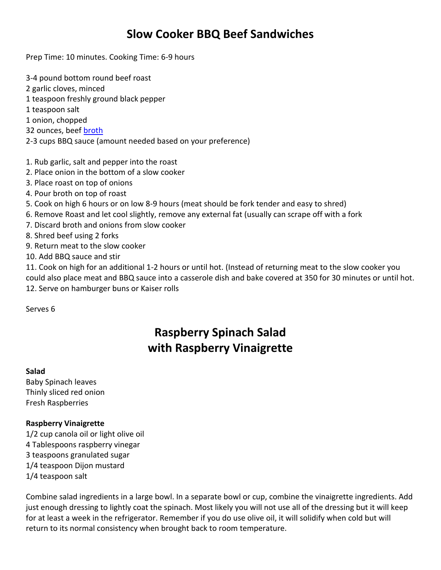## **Slow Cooker BBQ Beef Sandwiches**

Prep Time: 10 minutes. Cooking Time: 6-9 hours

- 3-4 pound bottom round beef roast 2 garlic cloves, minced 1 teaspoon freshly ground black pepper 1 teaspoon salt 1 onion, chopped 32 ounces, beef **broth** 2-3 cups BBQ sauce (amount needed based on your preference)
- 1. Rub garlic, salt and pepper into the roast
- 2. Place onion in the bottom of a slow cooker
- 3. Place roast on top of onions
- 4. Pour broth on top of roast
- 5. Cook on high 6 hours or on low 8-9 hours (meat should be fork tender and easy to shred)
- 6. Remove Roast and let cool slightly, remove any external fat (usually can scrape off with a fork
- 7. Discard broth and onions from slow cooker
- 8. Shred beef using 2 forks
- 9. Return meat to the slow cooker
- 10. Add BBQ sauce and stir

11. Cook on high for an additional 1-2 hours or until hot. (Instead of returning meat to the slow cooker you could also place meat and BBQ sauce into a casserole dish and bake covered at 350 for 30 minutes or until hot. 12. Serve on hamburger buns or Kaiser rolls

Serves 6

# **Raspberry Spinach Salad with Raspberry Vinaigrette**

#### **Salad**

Baby Spinach leaves Thinly sliced red onion Fresh Raspberries

#### **Raspberry Vinaigrette**

1/2 cup canola oil or light olive oil 4 Tablespoons raspberry vinegar 3 teaspoons granulated sugar 1/4 teaspoon Dijon mustard 1/4 teaspoon salt

Combine salad ingredients in a large bowl. In a separate bowl or cup, combine the vinaigrette ingredients. Add just enough dressing to lightly coat the spinach. Most likely you will not use all of the dressing but it will keep for at least a week in the refrigerator. Remember if you do use olive oil, it will solidify when cold but will return to its normal consistency when brought back to room temperature.